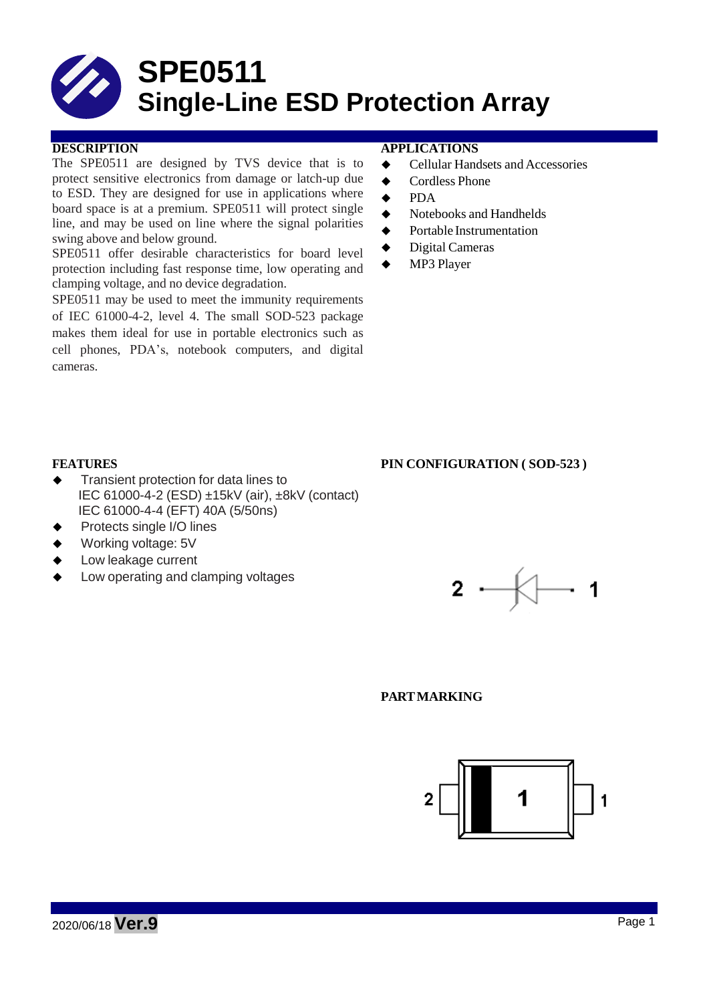

The SPE0511 are designed by TVS device that is to protect sensitive electronics from damage or latch-up due to ESD. They are designed for use in applications where board space is at a premium. SPE0511 will protect single line, and may be used on line where the signal polarities swing above and below ground.

SPE0511 offer desirable characteristics for board level protection including fast response time, low operating and clamping voltage, and no device degradation.

SPE0511 may be used to meet the immunity requirements of IEC 61000-4-2, level 4. The small SOD-523 package makes them ideal for use in portable electronics such as cell phones, PDA's, notebook computers, and digital cameras.

#### **DESCRIPTION APPLICATIONS**

- ◆ Cellular Handsets and Accessories
- ◆ Cordless Phone
- **←** PDA
- $\blacklozenge$  Notebooks and Handhelds
- **◆** Portable Instrumentation
- ◆ Digital Cameras
- ◆ MP3 Player

#### **FEATURES PIN CONFIGURATION ( SOD-523 )**

- Transient protection for data lines to IEC 61000-4-2 (ESD) ±15kV (air), ±8kV (contact) IEC 61000-4-4 (EFT) 40A (5/50ns)
- Protects single I/O lines
- Working voltage: 5V
- Low leakage current
- Low operating and clamping voltages



#### **PARTMARKING**

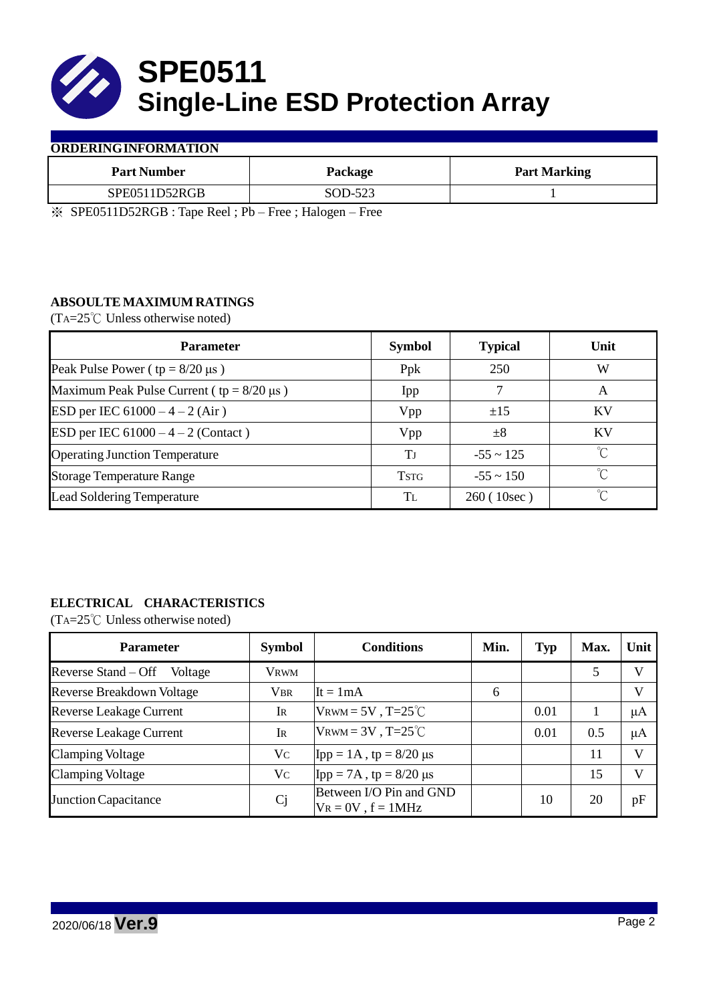

### **ORDERINGINFORMATION**

| <b>Part Number</b> | Package           | <b>Part Marking</b> |
|--------------------|-------------------|---------------------|
| SPE0511D52RGB      | SOD-523           |                     |
|                    | $- - -$<br>$\sim$ |                     |

※ SPE0511D52RGB : Tape Reel ; Pb – Free ; Halogen – Free

## **ABSOULTE MAXIMUM RATINGS**

(TA=25℃ Unless otherwise noted)

| <b>Parameter</b>                                 | <b>Symbol</b> | <b>Typical</b> | Unit        |
|--------------------------------------------------|---------------|----------------|-------------|
| Peak Pulse Power ( $tp = 8/20 \mu s$ )           | Ppk           | 250            | W           |
| Maximum Peak Pulse Current ( $tp = 8/20 \mu s$ ) | Ipp           |                | A           |
| ESD per IEC $61000 - 4 - 2$ (Air)                | Vpp           | ±15            | KV          |
| ESD per IEC $61000 - 4 - 2$ (Contact)            | Vpp           | $\pm 8$        | KV          |
| <b>Operating Junction Temperature</b>            | Tј            | $-55 \sim 125$ | $^{\circ}C$ |
| <b>Storage Temperature Range</b>                 | <b>TSTG</b>   | $-55 \sim 150$ | $\hat{C}$   |
| <b>Lead Soldering Temperature</b>                | TL.           | 260(10sec)     | $\gamma$    |

# **ELECTRICAL CHARACTERISTICS**

(TA=25℃ Unless otherwise noted)

| <b>Parameter</b>                 | <b>Symbol</b>  | <b>Conditions</b>                                  | Min. | <b>Typ</b> | Max. | Unit    |
|----------------------------------|----------------|----------------------------------------------------|------|------------|------|---------|
| Reverse Stand – Off<br>Voltage   | <b>VRWM</b>    |                                                    |      |            | 5    | V       |
| <b>Reverse Breakdown Voltage</b> | <b>VBR</b>     | $It = 1mA$                                         | 6    |            |      | V       |
| <b>Reverse Leakage Current</b>   | Ir             | VRWM = $5V$ , T= $25^{\circ}$ C                    |      | 0.01       |      | μA      |
| <b>Reverse Leakage Current</b>   | <b>IR</b>      | $V_{\text{RWM}} = 3V$ , T=25 <sup>°</sup> C        |      | 0.01       | 0.5  | $\mu A$ |
| <b>Clamping Voltage</b>          | Vc             | $\text{Ipp} = 1 \text{A}$ , tp = 8/20 µs           |      |            | 11   | V       |
| <b>Clamping Voltage</b>          | Vc             | $\text{Ipp} = 7\text{A}$ , tp = 8/20 µs            |      |            | 15   | V       |
| <b>Junction Capacitance</b>      | C <sub>j</sub> | Between I/O Pin and GND<br>$V_R = 0V$ , $f = 1MHz$ |      | 10         | 20   | pF      |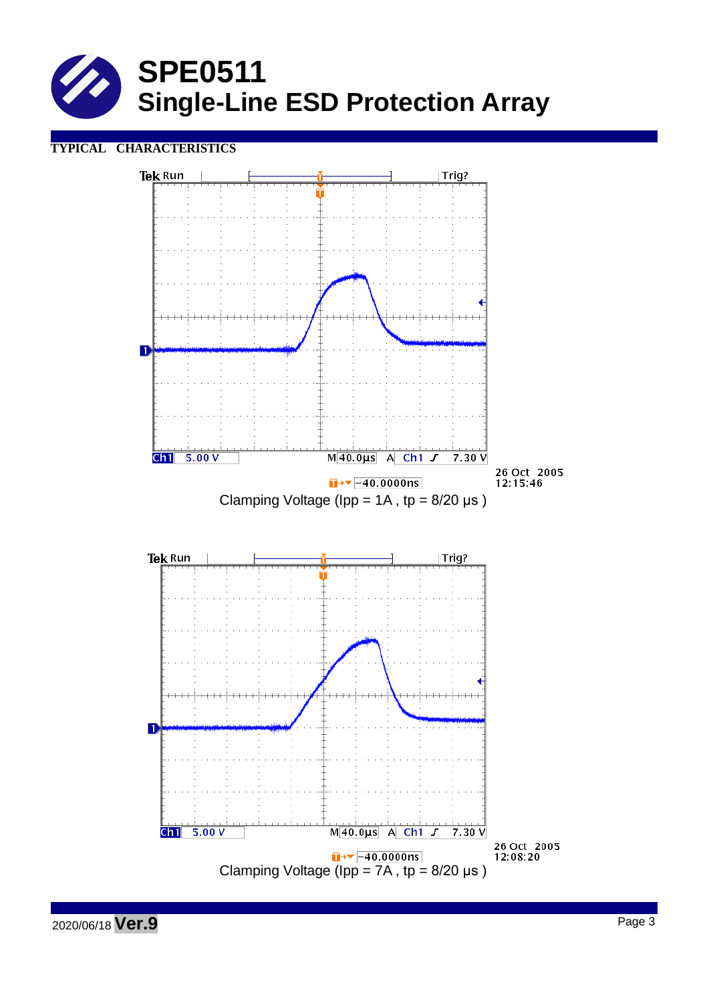

# **TYPICAL CHARACTERISTICS**



2020/06/18 **Ver.9** Page <sup>3</sup>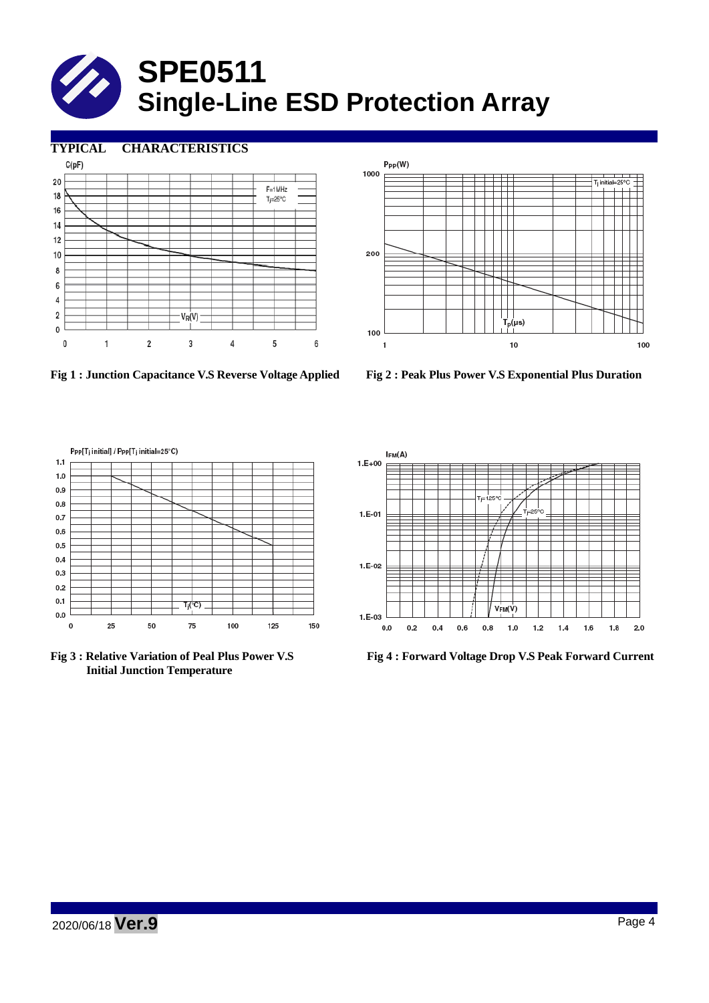# **SPE0511 Single-Line ESD Protection Array**

**TYPICAL CHARACTERISTICS**









**Initial Junction Temperature**



**Fig 3 : Relative Variation of Peal Plus Power V.S Fig 4 : Forward Voltage Drop V.S Peak Forward Current**